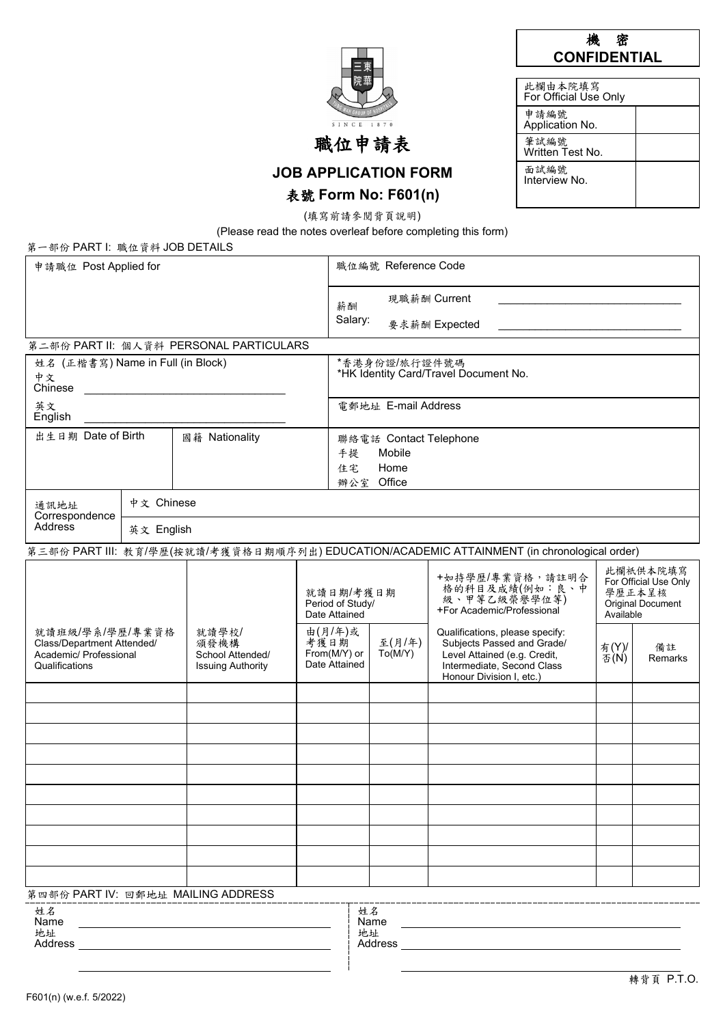| <b>WAH GROUP OF</b> |
|---------------------|
| SINCE 1870          |
| 泣申                  |

# 機密 **CONFIDENTIAL**

| 此欄由本院填寫<br>For Official Use Only |  |
|----------------------------------|--|
| 申請編號<br>Application No.          |  |
| 筆試編號<br>Written Test No.         |  |
| 面試編號<br>Interview No             |  |

**JOB APPLICATION FORM**

# 表號 **Form No: F601(n)**

(填寫前請參閱背頁說明)

(Please read the notes overleaf before completing this form)

| 第一部份 PART I: 職位資料 JOB DETAILS                                                                                                                              |            |                                                |                                                  |                                                                    |                                                                                 |                                                                                                                                                         |               |               |  |  |
|------------------------------------------------------------------------------------------------------------------------------------------------------------|------------|------------------------------------------------|--------------------------------------------------|--------------------------------------------------------------------|---------------------------------------------------------------------------------|---------------------------------------------------------------------------------------------------------------------------------------------------------|---------------|---------------|--|--|
| 申請職位 Post Applied for                                                                                                                                      |            |                                                |                                                  | 職位編號 Reference Code                                                |                                                                                 |                                                                                                                                                         |               |               |  |  |
|                                                                                                                                                            |            |                                                |                                                  | 薪酬<br>Salary:                                                      |                                                                                 | 現職薪酬 Current<br>要求薪酬 Expected                                                                                                                           |               |               |  |  |
|                                                                                                                                                            |            | 第二部份 PART II: 個人資料 PERSONAL PARTICULARS        |                                                  |                                                                    |                                                                                 |                                                                                                                                                         |               |               |  |  |
| 姓名 (正楷書寫) Name in Full (in Block)<br>中文<br>Chinese                                                                                                         |            |                                                |                                                  | *香港身份證/旅行證件號碼<br>*HK Identity Card/Travel Document No.             |                                                                                 |                                                                                                                                                         |               |               |  |  |
| 英文<br>English                                                                                                                                              |            |                                                |                                                  |                                                                    | 電郵地址 E-mail Address                                                             |                                                                                                                                                         |               |               |  |  |
| 出生日期 Date of Birth<br>國籍 Nationality                                                                                                                       |            |                                                |                                                  | 聯絡電話 Contact Telephone<br>Mobile<br>手提<br>Home<br>住宅<br>辦公室 Office |                                                                                 |                                                                                                                                                         |               |               |  |  |
| 通訊地址<br>Correspondence                                                                                                                                     | 中文 Chinese |                                                |                                                  |                                                                    |                                                                                 |                                                                                                                                                         |               |               |  |  |
| Address                                                                                                                                                    | 英文 English |                                                |                                                  |                                                                    |                                                                                 |                                                                                                                                                         |               |               |  |  |
|                                                                                                                                                            |            |                                                |                                                  |                                                                    |                                                                                 | 第三部份 PART III: 教育/學歷(按就讀/考獲資格日期順序列出) EDUCATION/ACADEMIC ATTAINMENT (in chronological order)                                                             |               |               |  |  |
|                                                                                                                                                            |            | 就讀日期/考獲日期<br>Period of Study/<br>Date Attained |                                                  |                                                                    | +如持學歷/專業資格,請註明合<br>格的科目及成績(例如:良、中<br>級、甲等乙級榮譽學位等)<br>+For Academic/Professional | 此欄祇供本院填寫<br>For Official Use Only<br>學歷正本呈核<br><b>Original Document</b><br>Available                                                                    |               |               |  |  |
| 就讀班級/學系/學歷/專業資格<br>就讀學校/<br>Class/Department Attended/<br>頒發機構<br>Academic/ Professional<br>School Attended/<br>Qualifications<br><b>Issuing Authority</b> |            |                                                | 由(月/年)或<br>考獲日期<br>From(M/Y) or<br>Date Attained |                                                                    | 至(月/年)<br>To(M/Y)                                                               | Qualifications, please specify:<br>Subjects Passed and Grade/<br>Level Attained (e.g. Credit,<br>Intermediate, Second Class<br>Honour Division I, etc.) | 有(Y)/<br>否(N) | 備註<br>Remarks |  |  |
|                                                                                                                                                            |            |                                                |                                                  |                                                                    |                                                                                 |                                                                                                                                                         |               |               |  |  |
|                                                                                                                                                            |            |                                                |                                                  |                                                                    |                                                                                 |                                                                                                                                                         |               |               |  |  |
|                                                                                                                                                            |            |                                                |                                                  |                                                                    |                                                                                 |                                                                                                                                                         |               |               |  |  |
|                                                                                                                                                            |            |                                                |                                                  |                                                                    |                                                                                 |                                                                                                                                                         |               |               |  |  |
|                                                                                                                                                            |            |                                                |                                                  |                                                                    |                                                                                 |                                                                                                                                                         |               |               |  |  |
|                                                                                                                                                            |            |                                                |                                                  |                                                                    |                                                                                 |                                                                                                                                                         |               |               |  |  |
|                                                                                                                                                            |            |                                                |                                                  |                                                                    |                                                                                 |                                                                                                                                                         |               |               |  |  |
|                                                                                                                                                            |            |                                                |                                                  |                                                                    |                                                                                 |                                                                                                                                                         |               |               |  |  |
|                                                                                                                                                            |            |                                                |                                                  |                                                                    |                                                                                 |                                                                                                                                                         |               |               |  |  |
|                                                                                                                                                            |            | 第四部份 PART IV: 回郵地址 MAILING ADDRESS             |                                                  |                                                                    |                                                                                 |                                                                                                                                                         |               |               |  |  |
| 姓名<br>Name                                                                                                                                                 |            |                                                |                                                  |                                                                    | 姓名<br>Name                                                                      |                                                                                                                                                         |               |               |  |  |
| 地址<br><b>Address</b>                                                                                                                                       |            |                                                |                                                  |                                                                    | 地址<br><b>Address</b>                                                            |                                                                                                                                                         |               |               |  |  |

 $\overline{a}$ 

 $\overline{a}$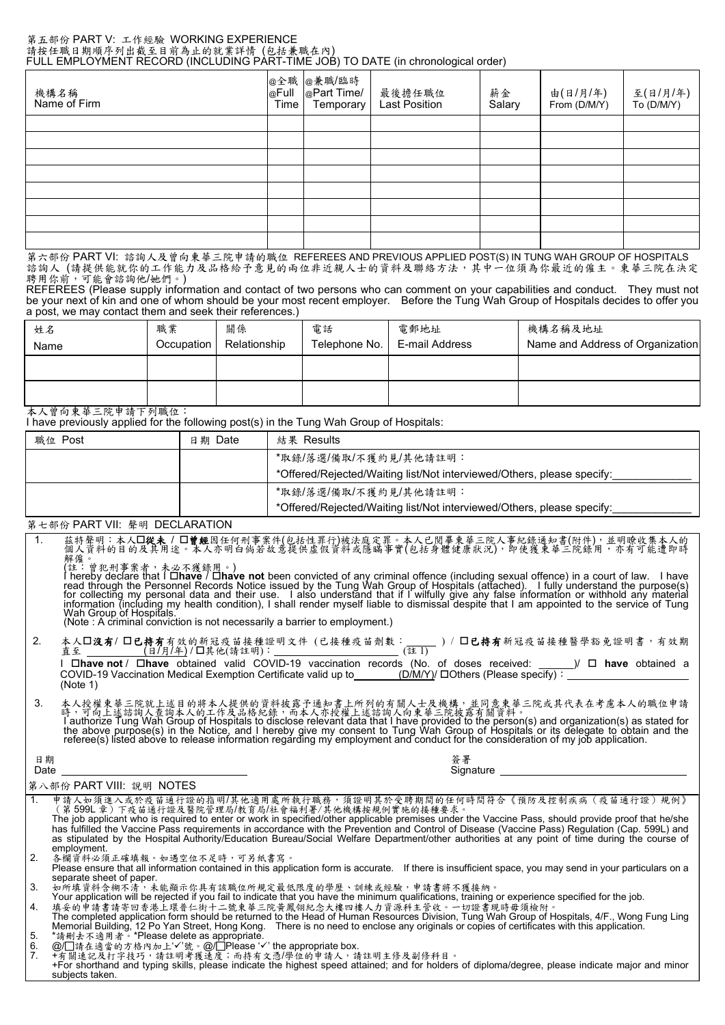#### 第五部份 PART V: 工作經驗 WORKING EXPERIENCE 請按任職日期順序列出截至目前為止的就業詳情 (包括兼職在內) FULL EMPLOYMENT RECORD (INCLUDING PART-TIME JOB) TO DATE (in chronological order)

| 機構名稱<br>Name of Firm | @全職<br>@Full<br>Time | ∜  @兼職/臨時<br>  @Part Time/<br>Temporary | 最後擔任職位<br>Last Position | 薪金<br>Salary | 由(日/月/年)<br>From (D/M/Y) | 至(日/月/年)<br>To (D/M/Y) |
|----------------------|----------------------|-----------------------------------------|-------------------------|--------------|--------------------------|------------------------|
|                      |                      |                                         |                         |              |                          |                        |
|                      |                      |                                         |                         |              |                          |                        |
|                      |                      |                                         |                         |              |                          |                        |
|                      |                      |                                         |                         |              |                          |                        |
|                      |                      |                                         |                         |              |                          |                        |
|                      |                      |                                         |                         |              |                          |                        |
|                      |                      |                                         |                         |              |                          |                        |
|                      |                      |                                         |                         |              |                          |                        |

第六部份 PART VI: 諮詢人及曾向東華三院申請的職位 REFEREES AND PREVIOUS APPLIED POST(S) IN TUNG WAH GROUP OF HOSPITALS 諮詢人 (請提供能就你的工作能力及品格给予意見的兩位非近親人士的資料及聯絡方法,其中一位須為你最近的僱主。東華三院在決定 聘用你前,可能會諮詢他/她們。)

REFEREES (Please supply information and contact of two persons who can comment on your capabilities and conduct. They must not be your next of kin and one of whom should be your most recent employer. Before the Tung Wah Group of Hospitals decides to offer you a post, we may contact them and seek their references.)

| 姓名<br>Name                                | 職業<br>Occupation | 關係<br>Relationship | 電話<br>Telephone No. | 電郵地址<br>E-mail Address | 機構名稱及地址<br>Name and Address of Organization |
|-------------------------------------------|------------------|--------------------|---------------------|------------------------|---------------------------------------------|
|                                           |                  |                    |                     |                        |                                             |
| $\sim$ $\sim$ $\sim$ $\sim$ $\sim$ $\sim$ |                  |                    |                     |                        |                                             |

本人曾向東華三院申請下列職位:

I have previously applied for the following post(s) in the Tung Wah Group of Hospitals:

| 職位 Post | 日期 Date | 結果 Results                                                             |
|---------|---------|------------------------------------------------------------------------|
|         |         | *取錄/落選/備取/不獲約見/其他請註明:                                                  |
|         |         | *Offered/Rejected/Waiting list/Not interviewed/Others, please specify: |
|         |         | *取錄/落選/備取/不獲約見/其他請註明:                                                  |
|         |         | *Offered/Rejected/Waiting list/Not interviewed/Others, please specify: |

### 第七部份 PART VII: 聲明 DECLARATION

1. 茲特聲明:本人從未 / 曾經因任何刑事案件(包括性罪行)被法庭定罪。本人已閱畢東華三院人事紀錄通知書(附件),並明瞭收集本人的 個人資料的目的及其用途。本人亦明白倘若故意提供虛假資料或隱瞞事實(包括身體健康狀況),即使獲東華三院錄用,亦有可能遭即時 解僱。

(註:曾犯刑事案者,未必不獲錄用。)<br>I hereby declare that I **ロhave / ロhave not** been convicted of any criminal offence (including sexual offence) in a court of law. I have read through the Personnel Records Notice issued by the Tung Wah Group of Hospitals (attached). I fully understand the purpose(s)<br>for collecting my personal data and their use. I also understand that if I wilfully give any

2. 本人**囗沒有/ 囗已持有**有效的新冠疫苗接種證明文件 (已接種疫苗劑數:\_\_\_\_\_ ) / **囗已持有**新冠疫苗接種醫學豁免證明書,有效期<br>直至 \_\_\_\_\_\_\_\_\_ (日/月/年)/口其他(請註明): \_\_\_\_\_\_\_\_\_\_\_\_\_\_\_\_\_\_\_\_\_(註1)

I **have not** / **have** obtained valid COVID-19 vaccination records (No. of doses received: \_\_\_\_\_\_)/ **have** obtained a COVID-19 Vaccination Medical Exemption Certificate valid up to\_\_\_\_\_\_\_\_(<u>D/M/Y)</u>/ ロOthers (Please specify):<sub>\_</sub><br>(Note 1)

3. 本人授權東華三院就上述目的將本人提供的資料披露予通知書上所列的有關人士及機構,並同意東華三院或其代表在考慮本人的職位申請<br> 時,可向上述諮詢人查詢本人的工作及品格紀錄,而本人亦授權上述諮詢人向東華三院披露有關資料。 l authorize Tung Wah Group of Hospitals to disclose relevant data that I have provided to the person(s) and organization(s) as stated for<br>the above purpose(s) in the Notice, and I hereby give my consent to Tung Wah Group o

ロ 期 はんしょう しょうしょう しゅうしょく しゅうしょく かんしゅう しゅうしょく にんしゅう あいしゅう しゅうしょく にんしゅう しゅうしょく しゅうしゅう しゅうしゅう しゅうしょく

Date Signature

### 第八部份 PART VIII: 說明 NOTES

| 申請人如須進入或於疫苗通行證的指明/其他適用處所執行職務,須證明其於受聘期間的任何時間符合《預防及控制疾病(疫苗通行證)規例》                                                                                    |
|----------------------------------------------------------------------------------------------------------------------------------------------------|
| (第 599L 章)下疫苗通行證及醫院管理局/教育局/社會福利署/其他機構按規例實施的接種要求。                                                                                                   |
| The job applicant who is required to enter or work in specified/other applicable premises under the Vaccine Pass, should provide proof that he/she |
| has fulfilled the Vaccine Pass requirements in accordance with the Prevention and Control of Disease (Vaccine Pass) Requlation (Cap. 599L) and     |
| as stipulated by the Hospital Authority/Education Bureau/Social Welfare Department/other authorities at any point of time during the course of     |
| employment.                                                                                                                                        |
| 各欄資料必須正確填報。如遇空位不足時,可另紙書寫。                                                                                                                          |

Please ensure that all information contained in this application form is accurate. If there is insufficient space, you may send in your particulars on a separate sheet of paper.<br>3. 如所填資料含糊不清,未能顯示你具有該職位所規定最低限度的學歷、訓練或經驗,申請書將不獲接納。

Your application will be rejected if you fail to indicate that you have the minimum qualifications, training or experience specified for the job.<br>- 填妥的申請書請寄回香港上環普仁街十二號東華三院黃鳳翎紀念大樓四樓人力資源科主管收。一切證書現時毋須檢附。<br>The completed applic

Memorial Building, 12 Po Yan Street, Hong Kong. There is no need to enclose any originals or copies of certificates with this application.<br>5. \*請刪去不適用者。\*Please delete as appropriate.<br>6. @/囗請在適當的方格內加上'✔'號。@/囗Please '✔' t

7. +有關速記及打字技巧,請註明考獲速度;而持有文憑/學位的申請人,請註明主修及副修科目。

+For shorthand and typing skills, please indicate the highest speed attained; and for holders of diploma/degree, please indicate major and minor subjects taken.